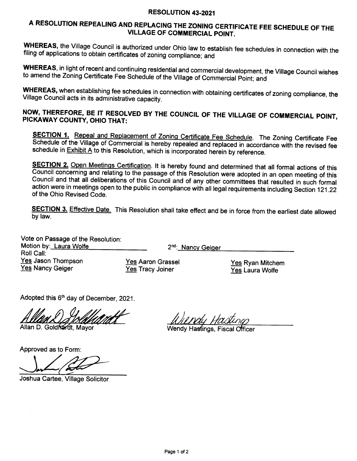#### RESOLUTION 43.2021

# <sup>A</sup>RESOLUTTON REPEALING AND REPLACING THE ZONING CERTTFICATE FEE SCHEDULE OF THE VILLAGE OF COMMERCIAL POINT.

WHEREAS, the Village Council is authorized under Ohio law to establish fee schedules in connection with the filing of applications to obtain certificates of zoning compliance; and

WHEREAS, in light of recent and continuing residential and commercial development, the Village Council wishes to amend the Zoning Certificate Fee Schedule of the Village of Commercial Point; and

WHEREAS, when establishing fee schedules in connection with obtaining certificates of zoning compliance, the<br>Village Council acts in its administrative capacity.

## NOW, THEREFORE, BE IT RESOLVED BY THE COUNCIL OF THE VILLAGE OF COMMERCIAL POINT, PICKAWAY COUNTY, OHIO THAT:

SECTION 1. Repeal and Replacement of Zoning Certificate Fee Schedule. The Zoning Certificate Fee<br>Schedule of the Village of Commercial is hereby repealed and replaced in accordance with the revised fee schedule in **Exhibit A** to this Resolution, which is incorporated herein by reference.

**SECTION 2.** Open Meetings Certification. It is hereby found and determined that all formal actions of this Council concerning and relating to the passage of this Resolution were adopted in an open meeting of this Council

SECTION 3. Effective Date. This Resolution shall take effect and be in force from the earliest date allowed by law.

Vote on Passage of the Resolution: Motion by: Laura Wolfe Roll Call: Yes Jason Thompson Yes Nancy Geiger

2<sup>nd</sup>: Nancy Geiger

Yes Aaron Grassel Yes Tracy Joiner

Yes Ryan Mitchem Yes Laura Wolfe

Adopted this 6<sup>th</sup> day of December, 2021.

Allan D. Goldhardt, Mavor

Approved as to Form

Joshua Cartee, Village Solicitor

Wendy Hastings, Fiscal Officer